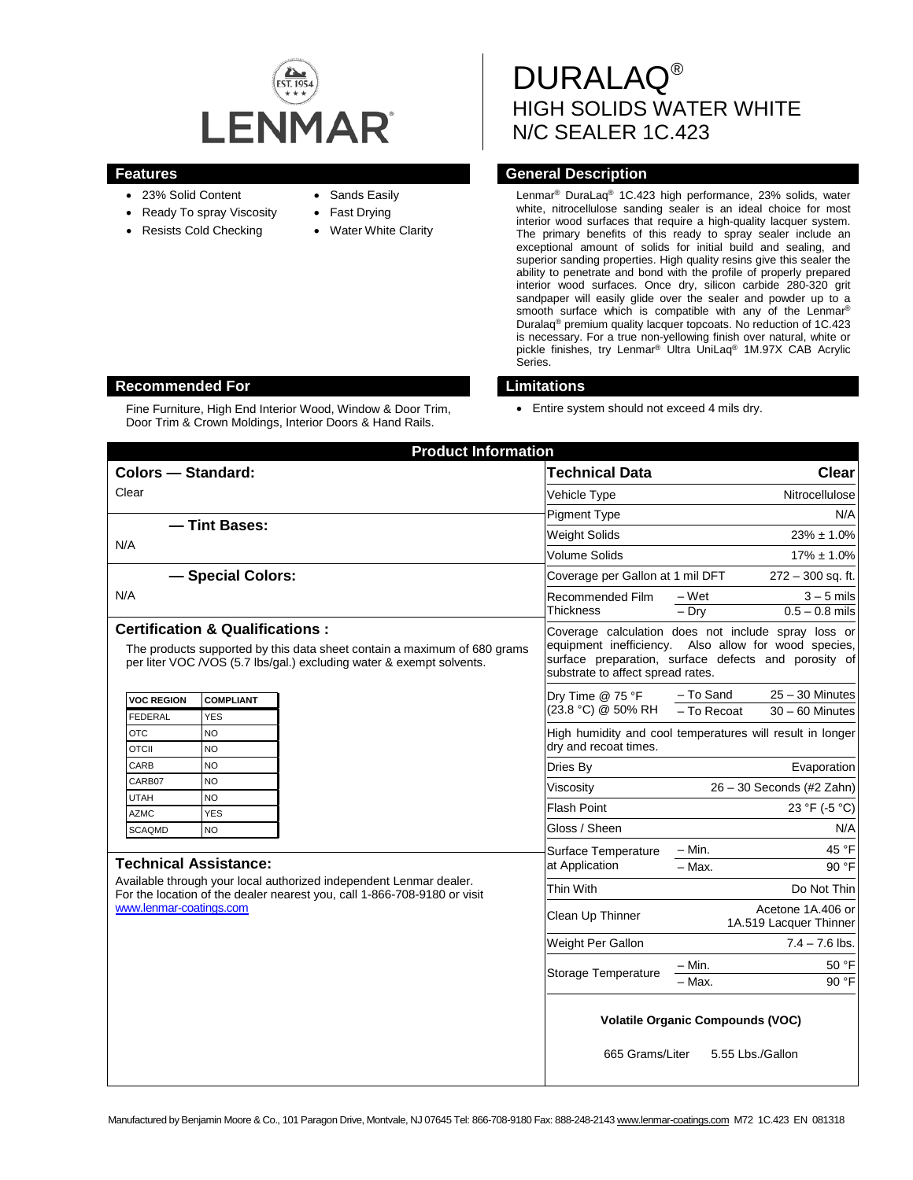

- 23% Solid Content
- Ready To spray Viscosity
- Resists Cold Checking
- Sands Easily
- Fast Drying
- **Water White Clarity**

DURALAQ® HIGH SOLIDS WATER WHITE N/C SEALER 1C.423

## **Features General Description**

Lenmar® DuraLaq® 1C.423 high performance, 23% solids, water white, nitrocellulose sanding sealer is an ideal choice for most interior wood surfaces that require a high-quality lacquer system. The primary benefits of this ready to spray sealer include an exceptional amount of solids for initial build and sealing, and superior sanding properties. High quality resins give this sealer the ability to penetrate and bond with the profile of properly prepared interior wood surfaces. Once dry, silicon carbide 280-320 grit sandpaper will easily glide over the sealer and powder up to a smooth surface which is compatible with any of the Lenmar<sup>®</sup> Duralaq® premium quality lacquer topcoats. No reduction of 1C.423 is necessary. For a true non-yellowing finish over natural, white or pickle finishes, try Lenmar® Ultra UniLaq® 1M.97X CAB Acrylic Series.

# **Recommended For Limitations**

Fine Furniture, High End Interior Wood, Window & Door Trim, Door Trim & Crown Moldings, Interior Doors & Hand Rails.

• Entire system should not exceed 4 mils dry.

| <b>Product Information</b>                                                                                                                                                                                |                                                                                                                                                                                                          |                                                                    |
|-----------------------------------------------------------------------------------------------------------------------------------------------------------------------------------------------------------|----------------------------------------------------------------------------------------------------------------------------------------------------------------------------------------------------------|--------------------------------------------------------------------|
| <b>Colors - Standard:</b>                                                                                                                                                                                 | <b>Technical Data</b>                                                                                                                                                                                    | <b>Clear</b>                                                       |
| Clear                                                                                                                                                                                                     | Vehicle Type                                                                                                                                                                                             | Nitrocellulose                                                     |
|                                                                                                                                                                                                           | <b>Pigment Type</b>                                                                                                                                                                                      | N/A                                                                |
| - Tint Bases:                                                                                                                                                                                             | <b>Weight Solids</b>                                                                                                                                                                                     | $23\% \pm 1.0\%$                                                   |
| N/A                                                                                                                                                                                                       | Volume Solids                                                                                                                                                                                            | $17\% \pm 1.0\%$                                                   |
| - Special Colors:                                                                                                                                                                                         | Coverage per Gallon at 1 mil DFT                                                                                                                                                                         | $272 - 300$ sq. ft.                                                |
| N/A                                                                                                                                                                                                       | Recommended Film<br><b>Thickness</b>                                                                                                                                                                     | $-Wet$<br>$3 - 5$ mils<br>$=$ Dry<br>$0.5 - 0.8$ mils              |
| <b>Certification &amp; Qualifications:</b><br>The products supported by this data sheet contain a maximum of 680 grams<br>per liter VOC /VOS (5.7 lbs/gal.) excluding water & exempt solvents.            | Coverage calculation does not include spray loss or<br>equipment inefficiency. Also allow for wood species,<br>surface preparation, surface defects and porosity of<br>substrate to affect spread rates. |                                                                    |
| <b>VOC REGION</b><br><b>COMPLIANT</b><br>FEDERAL<br><b>YES</b>                                                                                                                                            | Dry Time @ 75 °F<br>(23.8 °C) @ 50% RH                                                                                                                                                                   | $25 - 30$ Minutes<br>- To Sand<br>- To Recoat<br>$30 - 60$ Minutes |
| <b>OTC</b><br><b>NO</b><br><b>OTCII</b><br><b>NO</b>                                                                                                                                                      | High humidity and cool temperatures will result in longer<br>dry and recoat times.                                                                                                                       |                                                                    |
| CARB<br><b>NO</b>                                                                                                                                                                                         | Dries By                                                                                                                                                                                                 | Evaporation                                                        |
| CARB07<br>NO.                                                                                                                                                                                             | Viscosity                                                                                                                                                                                                | 26 - 30 Seconds (#2 Zahn)                                          |
| <b>UTAH</b><br><b>NO</b><br><b>AZMC</b><br><b>YES</b>                                                                                                                                                     | <b>Flash Point</b>                                                                                                                                                                                       | 23 °F (-5 °C)                                                      |
| <b>SCAQMD</b><br><b>NO</b>                                                                                                                                                                                | Gloss / Sheen                                                                                                                                                                                            | N/A                                                                |
| <b>Technical Assistance:</b><br>Available through your local authorized independent Lenmar dealer.<br>For the location of the dealer nearest you, call 1-866-708-9180 or visit<br>www.lenmar-coatings.com | Surface Temperature<br>at Application                                                                                                                                                                    | 45 °F<br>– Min.<br>$-$ Max.<br>90 °F                               |
|                                                                                                                                                                                                           | Thin With                                                                                                                                                                                                | Do Not Thin                                                        |
|                                                                                                                                                                                                           | Clean Up Thinner                                                                                                                                                                                         | Acetone 1A.406 or<br>1A.519 Lacquer Thinner                        |
|                                                                                                                                                                                                           | Weight Per Gallon                                                                                                                                                                                        | $7.4 - 7.6$ lbs.                                                   |
|                                                                                                                                                                                                           | <b>Storage Temperature</b>                                                                                                                                                                               | $-$ Min.<br>50 °F<br>90 °F<br>– Max.                               |
|                                                                                                                                                                                                           | <b>Volatile Organic Compounds (VOC)</b><br>665 Grams/Liter<br>5.55 Lbs./Gallon                                                                                                                           |                                                                    |
|                                                                                                                                                                                                           |                                                                                                                                                                                                          |                                                                    |